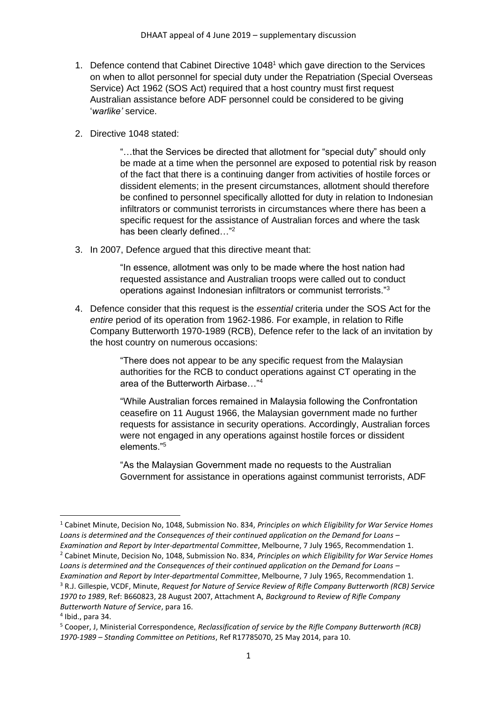- 1. Defence contend that Cabinet Directive 1048<sup>1</sup> which gave direction to the Services on when to allot personnel for special duty under the Repatriation (Special Overseas Service) Act 1962 (SOS Act) required that a host country must first request Australian assistance before ADF personnel could be considered to be giving '*warlike'* service.
- 2. Directive 1048 stated:

"…that the Services be directed that allotment for "special duty" should only be made at a time when the personnel are exposed to potential risk by reason of the fact that there is a continuing danger from activities of hostile forces or dissident elements; in the present circumstances, allotment should therefore be confined to personnel specifically allotted for duty in relation to Indonesian infiltrators or communist terrorists in circumstances where there has been a specific request for the assistance of Australian forces and where the task has been clearly defined..."<sup>2</sup>

3. In 2007, Defence argued that this directive meant that:

"In essence, allotment was only to be made where the host nation had requested assistance and Australian troops were called out to conduct operations against Indonesian infiltrators or communist terrorists."<sup>3</sup>

4. Defence consider that this request is the *essential* criteria under the SOS Act for the *entire* period of its operation from 1962-1986. For example, in relation to Rifle Company Butterworth 1970-1989 (RCB), Defence refer to the lack of an invitation by the host country on numerous occasions:

> "There does not appear to be any specific request from the Malaysian authorities for the RCB to conduct operations against CT operating in the area of the Butterworth Airbase…"<sup>4</sup>

"While Australian forces remained in Malaysia following the Confrontation ceasefire on 11 August 1966, the Malaysian government made no further requests for assistance in security operations. Accordingly, Australian forces were not engaged in any operations against hostile forces or dissident elements."<sup>5</sup>

"As the Malaysian Government made no requests to the Australian Government for assistance in operations against communist terrorists, ADF

- <sup>2</sup> Cabinet Minute, Decision No, 1048, Submission No. 834, *Principles on which Eligibility for War Service Homes Loans is determined and the Consequences of their continued application on the Demand for Loans –*
- *Examination and Report by Inter-departmental Committee*, Melbourne, 7 July 1965, Recommendation 1. <sup>3</sup> R.J. Gillespie, VCDF, Minute, *Request for Nature of Service Review of Rifle Company Butterworth (RCB) Service 1970 to 1989*, Ref: B660823, 28 August 2007, Attachment A, *Background to Review of Rifle Company Butterworth Nature of Service*, para 16.

<sup>1</sup> Cabinet Minute, Decision No, 1048, Submission No. 834, *Principles on which Eligibility for War Service Homes Loans is determined and the Consequences of their continued application on the Demand for Loans – Examination and Report by Inter-departmental Committee*, Melbourne, 7 July 1965, Recommendation 1.

<sup>4</sup> Ibid., para 34.

<sup>5</sup> Cooper, J, Ministerial Correspondence, *Reclassification of service by the Rifle Company Butterworth (RCB) 1970-1989 – Standing Committee on Petitions*, Ref R17785070, 25 May 2014, para 10.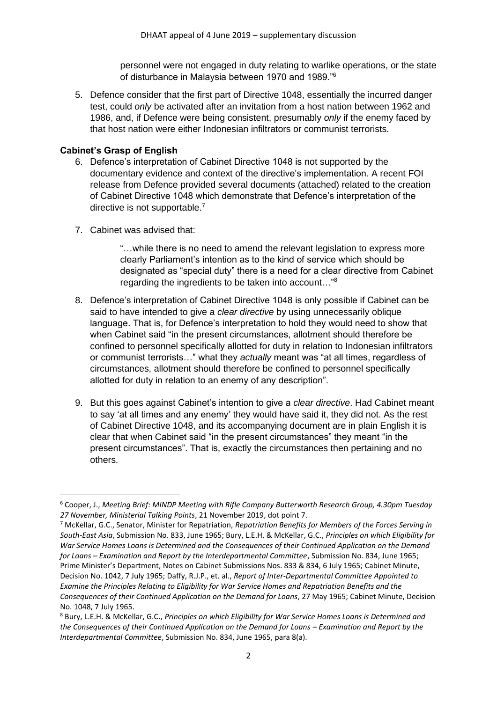personnel were not engaged in duty relating to warlike operations, or the state of disturbance in Malaysia between 1970 and 1989."<sup>6</sup>

5. Defence consider that the first part of Directive 1048, essentially the incurred danger test, could *only* be activated after an invitation from a host nation between 1962 and 1986, and, if Defence were being consistent, presumably *only* if the enemy faced by that host nation were either Indonesian infiltrators or communist terrorists.

## **Cabinet's Grasp of English**

- 6. Defence's interpretation of Cabinet Directive 1048 is not supported by the documentary evidence and context of the directive's implementation. A recent FOI release from Defence provided several documents (attached) related to the creation of Cabinet Directive 1048 which demonstrate that Defence's interpretation of the directive is not supportable.<sup>7</sup>
- 7. Cabinet was advised that:

"…while there is no need to amend the relevant legislation to express more clearly Parliament's intention as to the kind of service which should be designated as "special duty" there is a need for a clear directive from Cabinet regarding the ingredients to be taken into account…"<sup>8</sup>

- 8. Defence's interpretation of Cabinet Directive 1048 is only possible if Cabinet can be said to have intended to give a *clear directive* by using unnecessarily oblique language. That is, for Defence's interpretation to hold they would need to show that when Cabinet said "in the present circumstances, allotment should therefore be confined to personnel specifically allotted for duty in relation to Indonesian infiltrators or communist terrorists…" what they *actually* meant was "at all times, regardless of circumstances, allotment should therefore be confined to personnel specifically allotted for duty in relation to an enemy of any description".
- 9. But this goes against Cabinet's intention to give a *clear directive*. Had Cabinet meant to say 'at all times and any enemy' they would have said it, they did not. As the rest of Cabinet Directive 1048, and its accompanying document are in plain English it is clear that when Cabinet said "in the present circumstances" they meant "in the present circumstances". That is, exactly the circumstances then pertaining and no others.

<sup>6</sup> Cooper, J., *Meeting Brief: MINDP Meeting with Rifle Company Butterworth Research Group, 4.30pm Tuesday 27 November, Ministerial Talking Points*, 21 November 2019, dot point 7.

<sup>7</sup> McKellar, G.C., Senator, Minister for Repatriation, *Repatriation Benefits for Members of the Forces Serving in South-East Asia*, Submission No. 833, June 1965; Bury, L.E.H. & McKellar, G.C., *Principles on which Eligibility for War Service Homes Loans is Determined and the Consequences of their Continued Application on the Demand for Loans – Examination and Report by the Interdepartmental Committee*, Submission No. 834, June 1965; Prime Minister's Department, Notes on Cabinet Submissions Nos. 833 & 834, 6 July 1965; Cabinet Minute, Decision No. 1042, 7 July 1965; Daffy, R.J.P., et. al., *Report of Inter-Departmental Committee Appointed to Examine the Principles Relating to Eligibility for War Service Homes and Repatriation Benefits and the Consequences of their Continued Application on the Demand for Loans*, 27 May 1965; Cabinet Minute, Decision No. 1048, 7 July 1965.

<sup>8</sup> Bury, L.E.H. & McKellar, G.C., *Principles on which Eligibility for War Service Homes Loans is Determined and the Consequences of their Continued Application on the Demand for Loans – Examination and Report by the Interdepartmental Committee*, Submission No. 834, June 1965, para 8(a).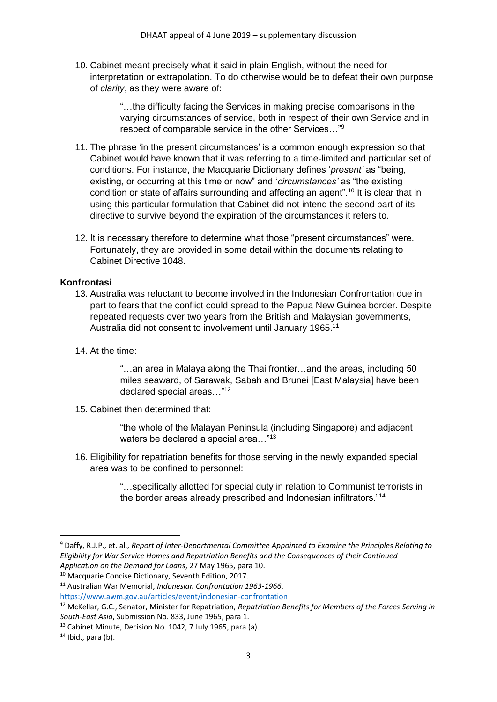10. Cabinet meant precisely what it said in plain English, without the need for interpretation or extrapolation. To do otherwise would be to defeat their own purpose of *clarity*, as they were aware of:

> "…the difficulty facing the Services in making precise comparisons in the varying circumstances of service, both in respect of their own Service and in respect of comparable service in the other Services…"<sup>9</sup>

- 11. The phrase 'in the present circumstances' is a common enough expression so that Cabinet would have known that it was referring to a time-limited and particular set of conditions. For instance, the Macquarie Dictionary defines '*present'* as "being, existing, or occurring at this time or now" and '*circumstances'* as "the existing condition or state of affairs surrounding and affecting an agent".<sup>10</sup> It is clear that in using this particular formulation that Cabinet did not intend the second part of its directive to survive beyond the expiration of the circumstances it refers to.
- 12. It is necessary therefore to determine what those "present circumstances" were. Fortunately, they are provided in some detail within the documents relating to Cabinet Directive 1048.

## **Konfrontasi**

- 13. Australia was reluctant to become involved in the Indonesian Confrontation due in part to fears that the conflict could spread to the Papua New Guinea border. Despite repeated requests over two years from the British and Malaysian governments, Australia did not consent to involvement until January 1965.<sup>11</sup>
- 14. At the time:

"…an area in Malaya along the Thai frontier…and the areas, including 50 miles seaward, of Sarawak, Sabah and Brunei [East Malaysia] have been declared special areas…"<sup>12</sup>

15. Cabinet then determined that:

"the whole of the Malayan Peninsula (including Singapore) and adjacent waters be declared a special area..."<sup>13</sup>

16. Eligibility for repatriation benefits for those serving in the newly expanded special area was to be confined to personnel:

> "…specifically allotted for special duty in relation to Communist terrorists in the border areas already prescribed and Indonesian infiltrators."<sup>14</sup>

<sup>9</sup> Daffy, R.J.P., et. al., *Report of Inter-Departmental Committee Appointed to Examine the Principles Relating to Eligibility for War Service Homes and Repatriation Benefits and the Consequences of their Continued Application on the Demand for Loans*, 27 May 1965, para 10.

<sup>10</sup> Macquarie Concise Dictionary, Seventh Edition, 2017.

<sup>11</sup> Australian War Memorial, *Indonesian Confrontation 1963-1966*,

<https://www.awm.gov.au/articles/event/indonesian-confrontation>

<sup>12</sup> McKellar, G.C., Senator, Minister for Repatriation, *Repatriation Benefits for Members of the Forces Serving in South-East Asia*, Submission No. 833, June 1965, para 1.

<sup>&</sup>lt;sup>13</sup> Cabinet Minute, Decision No. 1042, 7 July 1965, para (a).

 $14$  Ibid., para (b).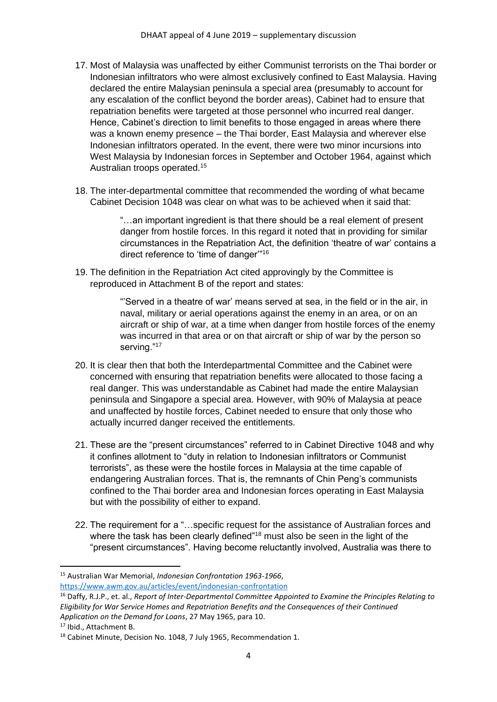- 17. Most of Malaysia was unaffected by either Communist terrorists on the Thai border or Indonesian infiltrators who were almost exclusively confined to East Malaysia. Having declared the entire Malaysian peninsula a special area (presumably to account for any escalation of the conflict beyond the border areas), Cabinet had to ensure that repatriation benefits were targeted at those personnel who incurred real danger. Hence, Cabinet's direction to limit benefits to those engaged in areas where there was a known enemy presence – the Thai border, East Malaysia and wherever else Indonesian infiltrators operated. In the event, there were two minor incursions into West Malaysia by Indonesian forces in September and October 1964, against which Australian troops operated.<sup>15</sup>
- 18. The inter-departmental committee that recommended the wording of what became Cabinet Decision 1048 was clear on what was to be achieved when it said that:

"…an important ingredient is that there should be a real element of present danger from hostile forces. In this regard it noted that in providing for similar circumstances in the Repatriation Act, the definition 'theatre of war' contains a direct reference to 'time of danger'"<sup>16</sup>

19. The definition in the Repatriation Act cited approvingly by the Committee is reproduced in Attachment B of the report and states:

> "'Served in a theatre of war' means served at sea, in the field or in the air, in naval, military or aerial operations against the enemy in an area, or on an aircraft or ship of war, at a time when danger from hostile forces of the enemy was incurred in that area or on that aircraft or ship of war by the person so serving."<sup>17</sup>

- 20. It is clear then that both the Interdepartmental Committee and the Cabinet were concerned with ensuring that repatriation benefits were allocated to those facing a real danger. This was understandable as Cabinet had made the entire Malaysian peninsula and Singapore a special area. However, with 90% of Malaysia at peace and unaffected by hostile forces, Cabinet needed to ensure that only those who actually incurred danger received the entitlements.
- 21. These are the "present circumstances" referred to in Cabinet Directive 1048 and why it confines allotment to "duty in relation to Indonesian infiltrators or Communist terrorists", as these were the hostile forces in Malaysia at the time capable of endangering Australian forces. That is, the remnants of Chin Peng's communists confined to the Thai border area and Indonesian forces operating in East Malaysia but with the possibility of either to expand.
- 22. The requirement for a "…specific request for the assistance of Australian forces and where the task has been clearly defined"<sup>18</sup> must also be seen in the light of the "present circumstances". Having become reluctantly involved, Australia was there to

<sup>15</sup> Australian War Memorial, *Indonesian Confrontation 1963-1966*, <https://www.awm.gov.au/articles/event/indonesian-confrontation>

<sup>16</sup> Daffy, R.J.P., et. al., *Report of Inter-Departmental Committee Appointed to Examine the Principles Relating to Eligibility for War Service Homes and Repatriation Benefits and the Consequences of their Continued Application on the Demand for Loans*, 27 May 1965, para 10.

<sup>&</sup>lt;sup>17</sup> Ibid., Attachment B.

<sup>&</sup>lt;sup>18</sup> Cabinet Minute, Decision No. 1048, 7 July 1965, Recommendation 1.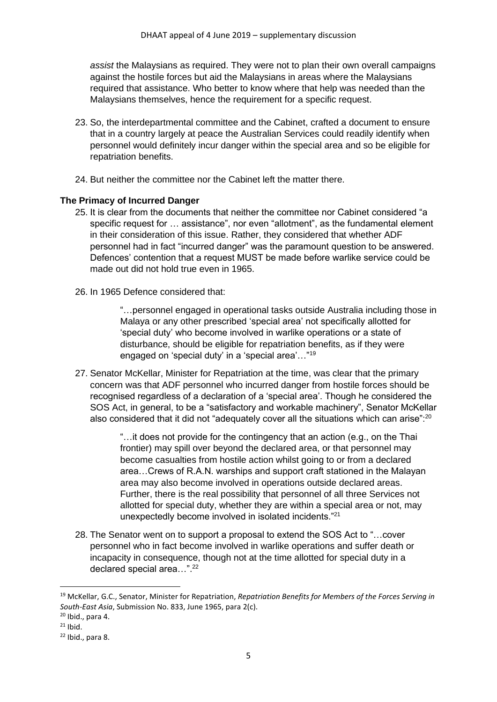*assist* the Malaysians as required. They were not to plan their own overall campaigns against the hostile forces but aid the Malaysians in areas where the Malaysians required that assistance. Who better to know where that help was needed than the Malaysians themselves, hence the requirement for a specific request.

- 23. So, the interdepartmental committee and the Cabinet, crafted a document to ensure that in a country largely at peace the Australian Services could readily identify when personnel would definitely incur danger within the special area and so be eligible for repatriation benefits.
- 24. But neither the committee nor the Cabinet left the matter there.

## **The Primacy of Incurred Danger**

- 25. It is clear from the documents that neither the committee nor Cabinet considered "a specific request for … assistance", nor even "allotment", as the fundamental element in their consideration of this issue. Rather, they considered that whether ADF personnel had in fact "incurred danger" was the paramount question to be answered. Defences' contention that a request MUST be made before warlike service could be made out did not hold true even in 1965.
- 26. In 1965 Defence considered that:

"…personnel engaged in operational tasks outside Australia including those in Malaya or any other prescribed 'special area' not specifically allotted for 'special duty' who become involved in warlike operations or a state of disturbance, should be eligible for repatriation benefits, as if they were engaged on 'special duty' in a 'special area'…"<sup>19</sup>

27. Senator McKellar, Minister for Repatriation at the time, was clear that the primary concern was that ADF personnel who incurred danger from hostile forces should be recognised regardless of a declaration of a 'special area'. Though he considered the SOS Act, in general, to be a "satisfactory and workable machinery", Senator McKellar also considered that it did not "adequately cover all the situations which can arise":<sup>20</sup>

> "…it does not provide for the contingency that an action (e.g., on the Thai frontier) may spill over beyond the declared area, or that personnel may become casualties from hostile action whilst going to or from a declared area…Crews of R.A.N. warships and support craft stationed in the Malayan area may also become involved in operations outside declared areas. Further, there is the real possibility that personnel of all three Services not allotted for special duty, whether they are within a special area or not, may unexpectedly become involved in isolated incidents."<sup>21</sup>

28. The Senator went on to support a proposal to extend the SOS Act to "…cover personnel who in fact become involved in warlike operations and suffer death or incapacity in consequence, though not at the time allotted for special duty in a declared special area…". 22

<sup>19</sup> McKellar, G.C., Senator, Minister for Repatriation, *Repatriation Benefits for Members of the Forces Serving in South-East Asia*, Submission No. 833, June 1965, para 2(c).

 $20$  Ibid., para 4.

 $21$  Ibid.

 $22$  Ibid., para 8.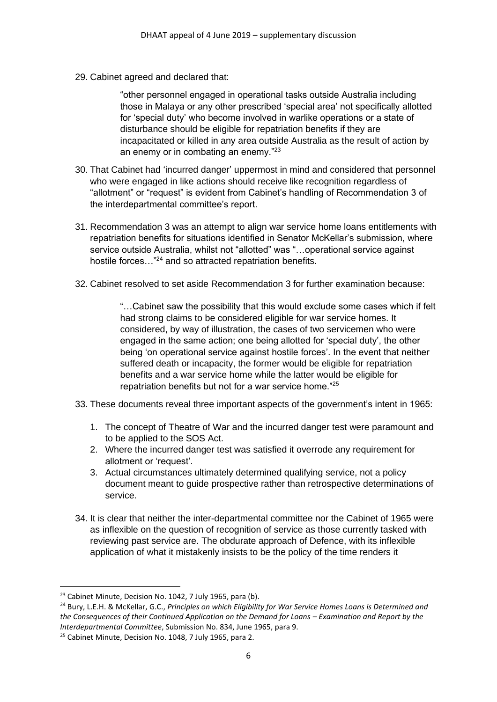29. Cabinet agreed and declared that:

"other personnel engaged in operational tasks outside Australia including those in Malaya or any other prescribed 'special area' not specifically allotted for 'special duty' who become involved in warlike operations or a state of disturbance should be eligible for repatriation benefits if they are incapacitated or killed in any area outside Australia as the result of action by an enemy or in combating an enemy."<sup>23</sup>

- 30. That Cabinet had 'incurred danger' uppermost in mind and considered that personnel who were engaged in like actions should receive like recognition regardless of "allotment" or "request" is evident from Cabinet's handling of Recommendation 3 of the interdepartmental committee's report.
- 31. Recommendation 3 was an attempt to align war service home loans entitlements with repatriation benefits for situations identified in Senator McKellar's submission, where service outside Australia, whilst not "allotted" was "…operational service against hostile forces...<sup>"24</sup> and so attracted repatriation benefits.
- 32. Cabinet resolved to set aside Recommendation 3 for further examination because:

"…Cabinet saw the possibility that this would exclude some cases which if felt had strong claims to be considered eligible for war service homes. It considered, by way of illustration, the cases of two servicemen who were engaged in the same action; one being allotted for 'special duty', the other being 'on operational service against hostile forces'. In the event that neither suffered death or incapacity, the former would be eligible for repatriation benefits and a war service home while the latter would be eligible for repatriation benefits but not for a war service home."<sup>25</sup>

- 33. These documents reveal three important aspects of the government's intent in 1965:
	- 1. The concept of Theatre of War and the incurred danger test were paramount and to be applied to the SOS Act.
	- 2. Where the incurred danger test was satisfied it overrode any requirement for allotment or 'request'.
	- 3. Actual circumstances ultimately determined qualifying service, not a policy document meant to guide prospective rather than retrospective determinations of service.
- 34. It is clear that neither the inter-departmental committee nor the Cabinet of 1965 were as inflexible on the question of recognition of service as those currently tasked with reviewing past service are. The obdurate approach of Defence, with its inflexible application of what it mistakenly insists to be the policy of the time renders it

<sup>&</sup>lt;sup>23</sup> Cabinet Minute, Decision No. 1042, 7 July 1965, para (b).

<sup>24</sup> Bury, L.E.H. & McKellar, G.C., *Principles on which Eligibility for War Service Homes Loans is Determined and the Consequences of their Continued Application on the Demand for Loans – Examination and Report by the Interdepartmental Committee*, Submission No. 834, June 1965, para 9.

<sup>&</sup>lt;sup>25</sup> Cabinet Minute, Decision No. 1048, 7 July 1965, para 2.